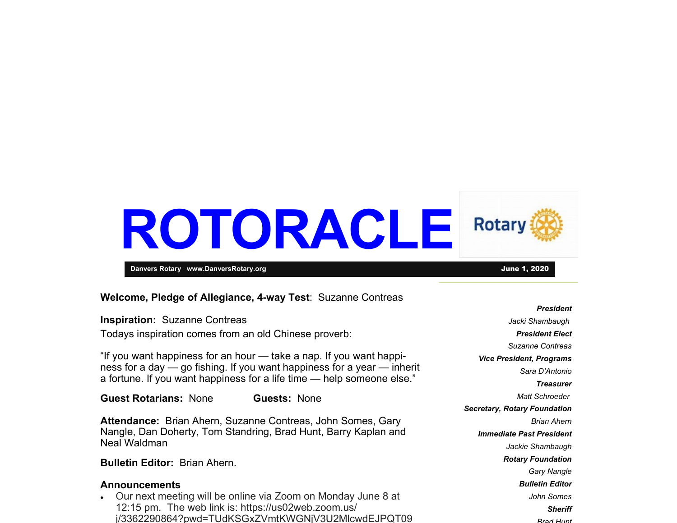# **ROTORACLE Rotary**

**Danvers Rotary www.DanversRotary.org** June 1, 2020

#### **Welcome, Pledge of Allegiance, 4-way Test**: Suzanne Contreas

#### **Inspiration:** Suzanne Contreas

Todays inspiration comes from an old Chinese proverb:

"If you want happiness for an hour — take a nap. If you want happiness for a day — go fishing. If you want happiness for a year — inherit a fortune. If you want happiness for a life time — help someone else."

**Guest Rotarians:** None **Guests:** None

**Attendance:** Brian Ahern, Suzanne Contreas, John Somes, Gary Nangle, Dan Doherty, Tom Standring, Brad Hunt, Barry Kaplan and Neal Waldman

**Bulletin Editor:** Brian Ahern.

#### **Announcements**

. Our next meeting will be online via Zoom on Monday June 8 at 12:15 pm. The web link is: https://us02web.zoom.us/ j/3362290864? pwd=TUdKSGxZVmtKWGNjV3U2MlcwdEJP QT09

*President Jacki Shambaugh President Elect Suzanne Contreas Vice President, Programs Sara D'Antonio Treasurer Matt Schroeder Secretary, Rotary Foundation Brian Ahern Immediate Past President Jackie Shambaugh Rotary Foundation Gary Nangle Bulletin Editor John Somes Sheriff Brad Hunt*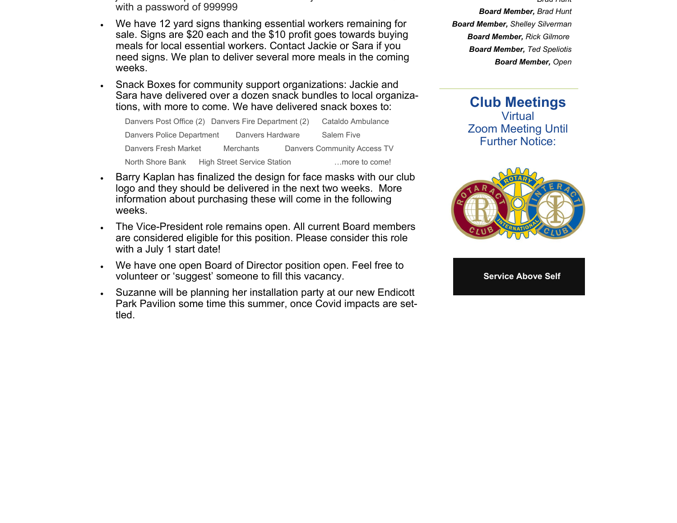- j de la constantin de la constantin de la constantin de la constantin de la constantin de la constantin de la with a password of 999999
- . We have 12 yard signs thanking essential workers remaining for sale. Signs are \$20 each and the \$10 profit goes towards buying meals for local essential workers. Contact Jackie or Sara if you need signs. We plan to deliver several more meals in the coming weeks.
- $\bullet$  Snack Boxes for community support organizations: Jackie and Sara have delivered over a dozen snack bundles to local organizations, with more to come. We have delivered snack boxes to:

| Danvers Post Office (2) Danvers Fire Department (2) |                                    | Cataldo Ambulance                  |
|-----------------------------------------------------|------------------------------------|------------------------------------|
| Danvers Police Department                           | Danvers Hardware                   | Salem Five                         |
| Danvers Fresh Market                                | <b>Merchants</b>                   | <b>Danvers Community Access TV</b> |
| North Shore Bank                                    | <b>High Street Service Station</b> | more to come!                      |

- $\bullet$  Barry Kaplan has finalized the design for face masks with our club logo and they should be delivered in the next two weeks. More information about purchasing these will come in the following weeks.
- $\bullet$  The Vice-President role remains open. All current Board members are considered eligible for this position. Please consider this role with a July 1 start date!
- . We have one open Board of Director position open. Feel free to volunteer or 'suggest' someone to fill this vacancy.
- . Suzanne will be planning her installation party at our new Endicott Park Pavilion some time this summer, once Covid impacts are settled.

 *Hunt Board Member, Brad Hunt Board Member, Shelley Silverman Board Member, Rick Gilmore Board Member, Ted Speliotis Board Member, Open* 

*Brad*

**Club Meetings Virtual** Zoom Meeting Until Further Notice:



**Service Above Self**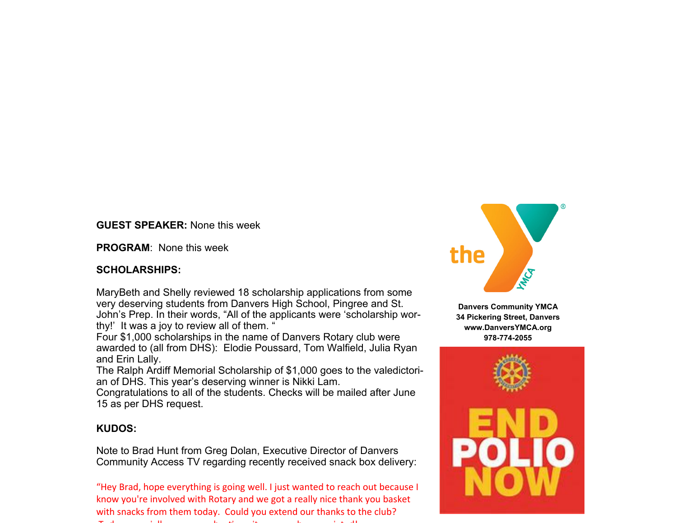#### **GUEST SPEAKER:** None this week

**PROGRAM**: None this week

#### **SCHOLARSHIPS:**

MaryBeth and Shelly reviewed 18 scholarship applications from some very deserving students from Danvers High School, Pingree and St. John's Prep. In their words, "All of the applicants were 'scholarship worthy!' It was a joy to review all of them. '

Four \$1,000 scholarships in the name of Danvers Rotary club were awarded to (all from DHS): Elodie Poussard, Tom Walfield, Julia Ryan and Erin Lally.

The Ralph Ardiff Memorial Scholarship of \$1,000 goes to the valedictorian of DHS. This year's deserving winner is Nikki Lam.

Congratulations to all of the students. Checks will be mailed after June 15 as per DHS request.

## **KUDOS:**

Note to Brad Hunt from Greg Dolan, Executive Director of Danvers Community Access TV regarding recently received snack box delivery:

"Hey Brad, hope everything is going well. I just wanted to reach out because I know you're involved with Rotary and we got <sup>a</sup> really nice thank you basket with snacks from them today. Could you extend our thanks to the club? — i i ll h Ɵit h i t d!



**Danvers Community YMCA 34 Pickering Street, Danvers www.DanversYMCA.org 978-774-2055** 

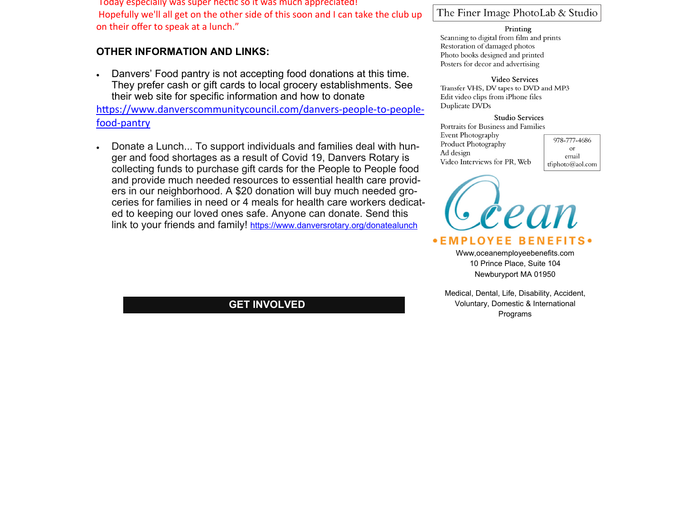Today especially was super hecƟ<sup>c</sup> so it was much appreciated! Hopefully we'll all get on the other side of this soon and I can take the club up on their <sup>o</sup>ffer to speak at <sup>a</sup> lunch."

### **OTHER INFORMATION AND LINKS:**

 $\bullet$  Danvers' Food pantry is not accepting food donations at this time. They prefer cash or gift cards to local grocery establishments. See their web site for specific information and how to donate

https://www.danverscommunitycouncil.com/danvers-people-to-peoplefood‐pantry

 $\bullet$  Donate a Lunch... To support individuals and families deal with hunger and food shortages as a result of Covid 19, Danvers Rotary is collecting funds to purchase gift cards for the People to People food and provide much needed resources to essential health care providers in our neighborhood. A \$20 donation will buy much needed groceries for families in need or 4 meals for health care workers dedicated to keeping our loved ones safe. Anyone can donate. Send this link to your friends and family! https://www.danversrotary.org/donatealunch

**GET INVOLVED** 

#### The Finer Image PhotoLab & Studio

#### Printing

Scanning to digital from film and prints Restoration of damaged photos Photo books designed and printed Posters for decor and advertising

#### Video Services

Transfer VHS, DV tapes to DVD and MP3 Edit video clips from iPhone files Duplicate DVDs

#### **Studio Services**

Portraits for Business and Families Event Photography Product Photography Ad design Video Interviews for PR, Web

978-777-4686  $\alpha$ r email tfiphoto@aol.com



Www,oceanemployeebenefits.com 10 Prince Place, Suite 104 Newburyport MA 01950

Medical, Dental, Life, Disability, Accident, Voluntary, Domestic & International Programs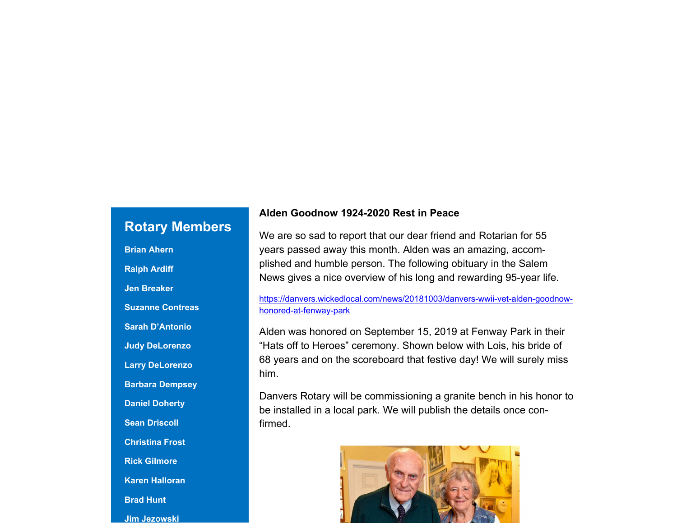# **Rotary Members**

**Brian Ahern Ralph Ardiff Jen Breaker Suzanne Contreas Sarah D'Antonio Judy DeLorenzo Larry DeLorenzo Barbara Dempsey Daniel Doherty Sean Driscoll Christina Frost Rick Gilmore Karen Halloran Brad Hunt Jim Jezowski** 

## **Alden Goodnow 1924-2020 Rest in Peace**

We are so sad to report that our dear friend and Rotarian for 55 years passed away this month. Alden was an amazing, accomplished and humble person. The following obituary in the Salem News gives a nice overview of his long and rewarding 95-year life.

https://danvers.wickedlocal.com/news/20181003/danvers-wwii-vet-alden-goodnowhonored-at-fenway-park

Alden was honored on September 15, 2019 at Fenway Park in their "Hats off to Heroes" ceremony. Shown below with Lois, his bride of 68 years and on the scoreboard that festive day! We will surely miss him.

Danvers Rotary will be commissioning a granite bench in his honor to be installed in a local park. We will publish the details once confirmed.

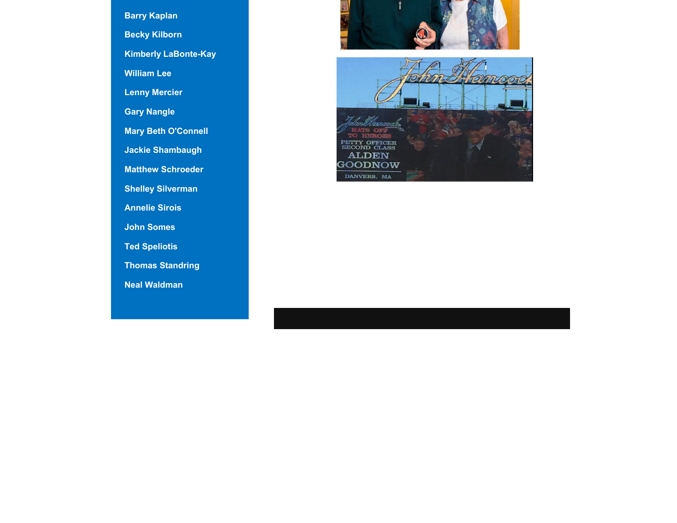**Barry Kaplan Becky Kilborn Kimberly LaBonte-Kay William Lee Lenny Mercier Gary Nangle Mary Beth O'Connell Jackie Shambaugh Matthew Schroeder Shelley Silverman Annelie Sirois John Somes Ted Speliotis Thomas Standring Neal Waldman** 



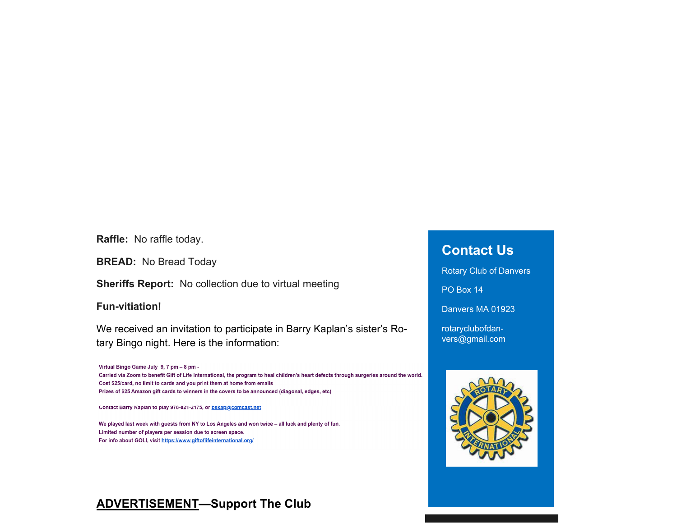**Raffle:** No raffle today.

**BREAD:** No Bread Today

**Sheriffs Report:** No collection due to virtual meeting

**Fun-vitiation!** 

We received an invitation to participate in Barry Kaplan's sister's Rotary Bingo night. Here is the information:

Virtual Bingo Game July 9, 7 pm - 8 pm -Carried via Zoom to benefit Gift of Life International, the program to heal children's heart defects through surgeries around the world. Cost \$25/card, no limit to cards and you print them at home from emails Prizes of \$25 Amazon gift cards to winners in the covers to be announced (diagonal, edges, etc)

Contact Barry Kaplan to play 978-821-2175, or bskap@comcast.net

We played last week with guests from NY to Los Angeles and won twice - all luck and plenty of fun. Limited number of players per session due to screen space. For info about GOLI, visit https://www.giftoflifeinternational.org/

# **Contact Us**

Rotary Club of Danvers

PO Box 14

Danvers MA 01923

rotaryclubofdanvers@gmail.com



## **ADVERTISEMENT—Support The Club**